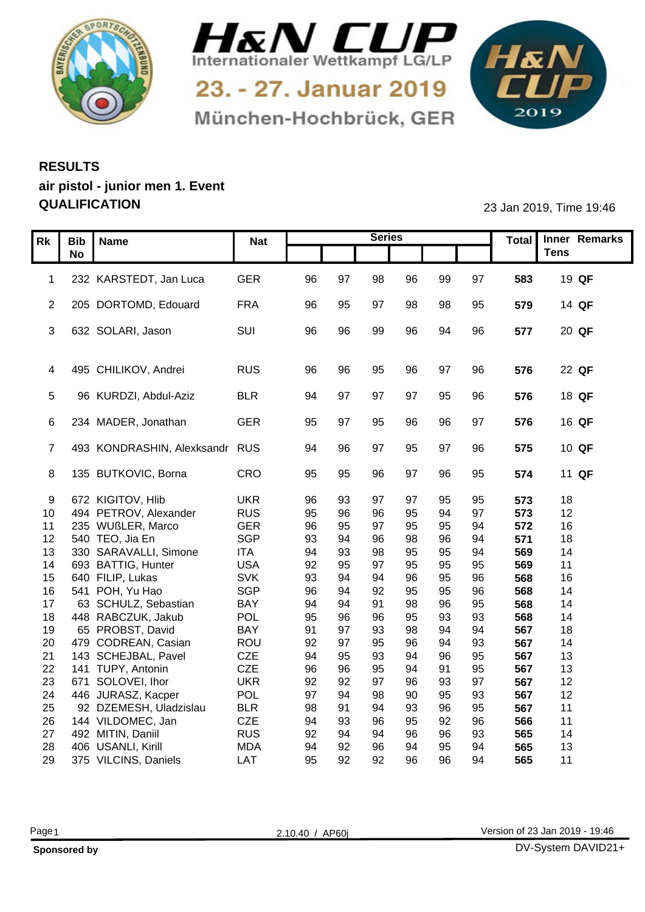



München-Hochbrück, GER

1&N 

## **RESULTS air pistol - junior men 1. Event QUALIFICATION** 23 Jan 2019, Time 19:46

|    | Rk   Bib   Name                                 | <b>Nat</b> |          |           | <b>Series</b> |          |                |          |            | Total Inner Remarks    |
|----|-------------------------------------------------|------------|----------|-----------|---------------|----------|----------------|----------|------------|------------------------|
|    | <b>No</b>                                       |            |          |           |               |          |                |          |            | <b>Tens</b>            |
|    |                                                 |            |          |           |               |          |                |          |            |                        |
|    | 1 232 KARSTEDT, Jan Luca                        | GER        | 96       | - 97      | 98            | 96       | 99             | 97       | 583        | 19 QF                  |
|    |                                                 |            |          |           |               |          |                |          |            |                        |
|    | 2 205 DORTOMD, Edouard                          | <b>FRA</b> | 96       | 95        | -97           | 98       | 98             | 95       | 579        | 14 QF                  |
|    | 3 632 SOLARI, Jason                             | SUI        | 96       | 96        | 99            | 96       | 94             | 96       | 577        | 20 QF                  |
|    |                                                 |            |          |           |               |          |                |          |            |                        |
|    |                                                 |            |          |           |               |          |                |          |            |                        |
|    | 4 495 CHILIKOV, Andrei                          | <b>RUS</b> | -96      | -96       | 95            | 96       | Q <sub>7</sub> | 96       | 576        | 22 QF                  |
|    |                                                 |            |          |           |               |          |                |          |            |                        |
|    | 96 KURDZI, Abdul-Aziz                           | <b>BLR</b> | -94      |           |               |          |                |          | 576        | 18 QF                  |
|    |                                                 |            |          |           |               |          |                |          |            |                        |
|    | 6 234 MADER, Jonathan                           | GER        | -95      |           | 95            | 96       | 96             | 97       | 576        | 16 QF                  |
|    |                                                 |            |          |           |               |          |                |          |            |                        |
|    | 7 493 KONDRASHIN, Alexksandr RUS                |            | 94       | 96        | .97           | 95       | 97             | 96       | 575        | 10 QF                  |
|    |                                                 |            |          |           |               |          |                |          |            |                        |
|    | 8 135 BUTKOVIC, Borna                           | CRO        | 95       | 95        | 96            | 97       | 96             | 95       | 574        | 11 QF                  |
|    | 9 672 KIGITOV, Hlib                             | <b>UKR</b> |          |           |               | 97       | 95             | 95       | 573        | 18                     |
|    | 10 494 PETROV, Alexander                        | <b>RUS</b> | 96<br>95 | 93<br>96  | 96            | 95       | 94             | 97       | 573        | 12                     |
| 11 | 235 WUßLER, Marco                               | <b>GER</b> | 96       | 95        | 97            | 95       |                | 94       | 572        | 16                     |
|    | 12 540 TEO, Jia En                              | SGP        | 93       | 94        | 96            | 98       | 96             | 94       | 571        | 18                     |
|    | 13 330 SARAVALLI, Simone                        | <b>ITA</b> | 94       | 93        | 98            | 95       | 95             | 94       | 569        | 14                     |
| 14 | 693 BATTIG, Hunter                              | <b>USA</b> | 92       | 95        | 97            | 95       | 95             | 95       | 569        | 11                     |
|    | 15 640 FILIP, Lukas                             | <b>SVK</b> | 93       | 94        |               | 96       | 95             | 96       | 568        | 16                     |
|    | 16 541 POH, Yu Hao                              | SGP        | 96       | 94        | 92            | 95       | 95             | 96       | 568        | 14                     |
| 17 | 63 SCHULZ, Sebastian                            | BAY        | 94       | 94        |               | 98       | 96             | 95       | 568        | 14                     |
| 18 | 448 RABCZUK, Jakub                              | POL        | 95       | 96        | 96            | 95       | 93             | 93       | 568        | 14                     |
| 19 | 65 PROBST, David                                | <b>BAY</b> | 91       | -97       | 93            | 98       | 94             | 94       | 567        | 18                     |
| 20 | 479 CODREAN, Casian                             | ROU        | 92       | <b>Q7</b> | 95            | 96       |                | 93       | 567        | 14                     |
| 21 | 143 SCHEJBAL, Pavel                             | CZE        | 94       | 95        | 93            | 94       | 96             | 95       | 567        | 13                     |
|    | 22 141 TUPY, Antonin                            | CZE        | 96       | 96        | 95            | 94       |                | 95       | 567        | 13 <sup>°</sup>        |
| 23 | 671 SOLOVEI, Ihor                               | <b>UKR</b> | 92       | 92        | 97            | 96       | 93             | 97       | 567        | 12 <sup>°</sup>        |
|    | 24 446 JURASZ, Kacper<br>92 DZEMESH, Uladzislau | POL        | 97<br>98 | 94        | 98            | 90       | 95             | 93       | 567        | 12 <sup>12</sup><br>11 |
| 25 | 26 144 VILDOMEC, Jan                            | BLR<br>CZE | 94       | 93        | 96            | 93<br>95 | 96<br>92       | 95<br>96 | 567<br>566 | 11                     |
|    | 27 492 MITIN, Daniil                            | <b>RUS</b> | 92       |           |               | 96       | 96             | 93       | 565        | 14                     |
| 28 | 406 USANLI, Kirill                              | <b>MDA</b> | 94       | 92        | 96            | 94       |                | 94       | 565        | 13                     |
|    | 29 375 VILCINS, Daniels                         | LAT        | 95       | 92        | 92            | 96       | 96             | 94       | 565        | 11                     |
|    |                                                 |            |          |           |               |          |                |          |            |                        |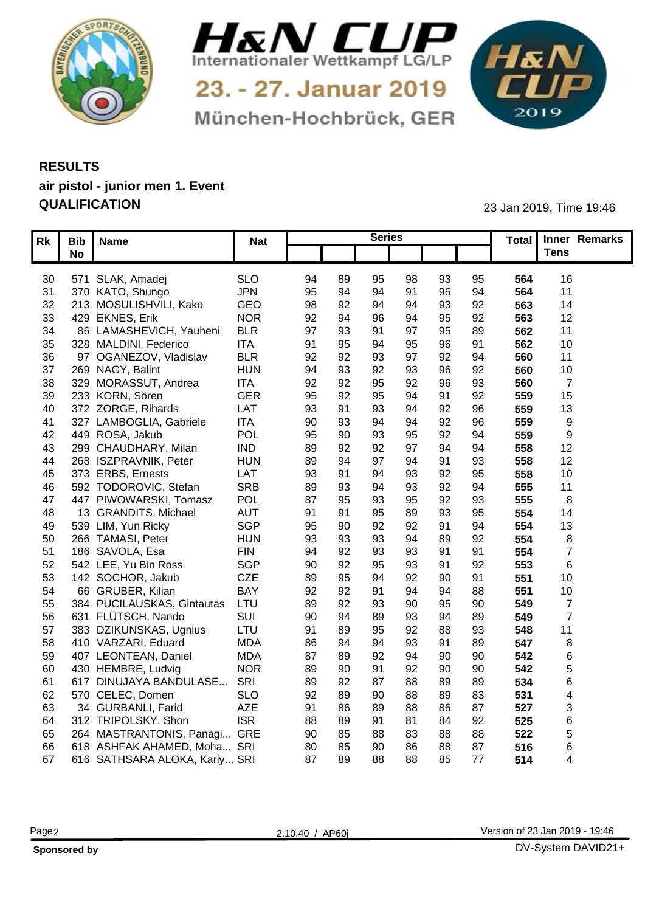



München-Hochbrück, GER

1&N 

## **RESULTS air pistol - junior men 1. Event QUALIFICATION** 23 Jan 2019, Time 19:46

|                 | Rk   Bib   Name                  | Nat        |    |           | <b>Series</b>   |                |    |     | Total Inner Remarks |
|-----------------|----------------------------------|------------|----|-----------|-----------------|----------------|----|-----|---------------------|
|                 | <b>No</b>                        |            |    |           |                 |                |    |     | <b>Tens</b>         |
|                 |                                  |            |    |           |                 |                |    |     |                     |
|                 | 30 571 SLAK, Amadej              | <b>SLO</b> | 94 | 89        | 98<br>95        | 93             | 95 | 564 | 16                  |
|                 | 31 370 KATO, Shungo              | <b>JPN</b> | 95 |           | 91              |                | 94 | 564 | 11                  |
| 32 <sub>2</sub> | 213 MOSULISHVILI, Kako           | GEO        | 98 | 92        | 94              | 93             | 92 | 563 | 14                  |
| 33              | 429 EKNES, Erik                  | <b>NOR</b> | 92 |           | 94<br>96        | 95             | 92 | 563 | 12                  |
| 34              | 86 LAMASHEVICH, Yauheni          | <b>BLR</b> | 97 | 93        | 97<br>٩         | 95             | 89 | 562 | 11                  |
|                 | 35 328 MALDINI, Federico         | <b>ITA</b> | 91 | 95        | 95              | 96             | 91 | 562 | 10 <sup>1</sup>     |
| 36              | 97 OGANEZOV, Vladislav           | <b>BLR</b> | 92 | 92        | 97<br>93        | 92             | 94 | 560 | 11                  |
| 37              | 269 NAGY, Balint                 | <b>HUN</b> | 94 | 93        | 92<br>93        |                | 92 | 560 | 10                  |
| 38              | 329 MORASSUT, Andrea             | <b>ITA</b> | 92 | 92        | 92<br>95        | 96             | 93 | 560 | - 7                 |
|                 | 39 233 KORN, Sören               | <b>GER</b> | 95 | 92        | 95<br>٩4        | Q <sub>1</sub> | 92 | 559 | 15                  |
|                 | 40 372 ZORGE, Rihards            | LAT        | 93 |           | 94<br>93        | 92             | 96 | 559 | 13 <sup>°</sup>     |
| 41              | 327 LAMBOGLIA, Gabriele          | <b>ITA</b> | 90 | -93       | ۹۷              | 92             | 96 | 559 | <b>Q</b>            |
|                 | 42 449 ROSA, Jakub               | POL        | 95 | 90        | 95<br>93        | Q <sub>2</sub> | 94 | 559 | <b>Q</b>            |
| 43              | 299 CHAUDHARY, Milan             | <b>IND</b> | 89 | 92        | 97<br>92        | 94             | 94 | 558 | 12                  |
| 44              | 268 ISZPRAVNIK, Peter            | <b>HUN</b> | 89 |           | 94<br>97        | Q <sub>1</sub> | 93 | 558 | 12 <sup>12</sup>    |
|                 | 45 373 ERBS, Ernests             | LAT        | 93 |           | 93<br>94        | 92             | 95 | 558 | 10 <sup>°</sup>     |
| 46              | 592 TODOROVIC, Stefan            | <b>SRB</b> | 89 | -93       | 93              | 92             | 94 | 555 | 11                  |
| 47              | 447 PIWOWARSKI, Tomasz           | POL        | 87 | 95        | 95<br>93        | 92             | 93 | 555 | -8                  |
| 48              | 13 GRANDITS, Michael             | AUT        | 91 |           | 95<br>89        | 93             | 95 | 554 | 14                  |
| 49              | 539 LIM, Yun Ricky               | SGP        | 95 | 90        | 92<br>92        |                | 94 | 554 | 13 <sup>°</sup>     |
| 50              | 266 TAMASI, Peter                | <b>HUN</b> | 93 | 93        | 94<br>93        | 89             | 92 | 554 |                     |
| 51              | 186 SAVOLA, Esa                  | <b>FIN</b> | 94 | 92        | 93<br>93        |                | 91 | 554 |                     |
| 52              | 542 LEE, Yu Bin Ross             | SGP        | 90 | 92        | 93<br>95        | Q <sub>1</sub> | 92 | 553 |                     |
|                 | 53 142 SOCHOR, Jakub             | CZE        | 89 |           | 92              | 90             | 91 | 551 | 10                  |
| 54              | 66 GRUBER, Kilian                | <b>BAY</b> | 92 | 92        | 94              | 94             | 88 | 551 | 10                  |
| 55              | 384 PUCILAUSKAS, Gintautas       | LTU        | 89 | 92        | 90<br>93        |                | 90 | 549 |                     |
| 56              | 631 FLÜTSCH, Nando               | SUI        | 90 |           | 93              |                | 89 | 549 |                     |
| 57              | 383 DZIKUNSKAS, Ugnius           | LTU        | 91 |           | 92              |                | 93 | 548 |                     |
| 58              | 410 VARZARI, Eduard              | <b>MDA</b> | 86 |           | 93              | Q <sub>1</sub> | 89 | 547 |                     |
| 59              | 407 LEONTEAN, Daniel             | <b>MDA</b> | 87 | 8S        | 94<br>92        | 90             | 90 | 542 |                     |
| 60              | 430 HEMBRE, Ludvig               | <b>NOR</b> | 89 | <b>90</b> | 92              | 90             | 90 | 542 |                     |
| 61              | 617 DINUJAYA BANDULASE.          | SRI        | 89 | 92        | 88              |                | 89 | 534 |                     |
| 62              | 570 CELEC, Domen                 | <b>SLO</b> | 92 |           | 88              | 89             | 83 | 531 |                     |
| 63              | 34 GURBANLI, Farid               | <b>AZE</b> | 91 |           | 88              | 86             | 87 | 527 |                     |
| 64              | 312 TRIPOLSKY, Shon              | <b>ISR</b> | 88 | 89        | 81              |                | 92 | 525 |                     |
| 65              | 264 MASTRANTONIS, Panagi         | . GRE      | 90 |           | 83              |                | 88 | 522 |                     |
| 66              | 618 ASHFAK AHAMED, Moha SRI      |            | 80 |           | 86<br><b>90</b> |                | 87 | 516 |                     |
|                 | 67 616 SATHSARA ALOKA, Kariy SRI |            | 87 | 89        | 88<br>88        | 85             | 77 | 514 |                     |